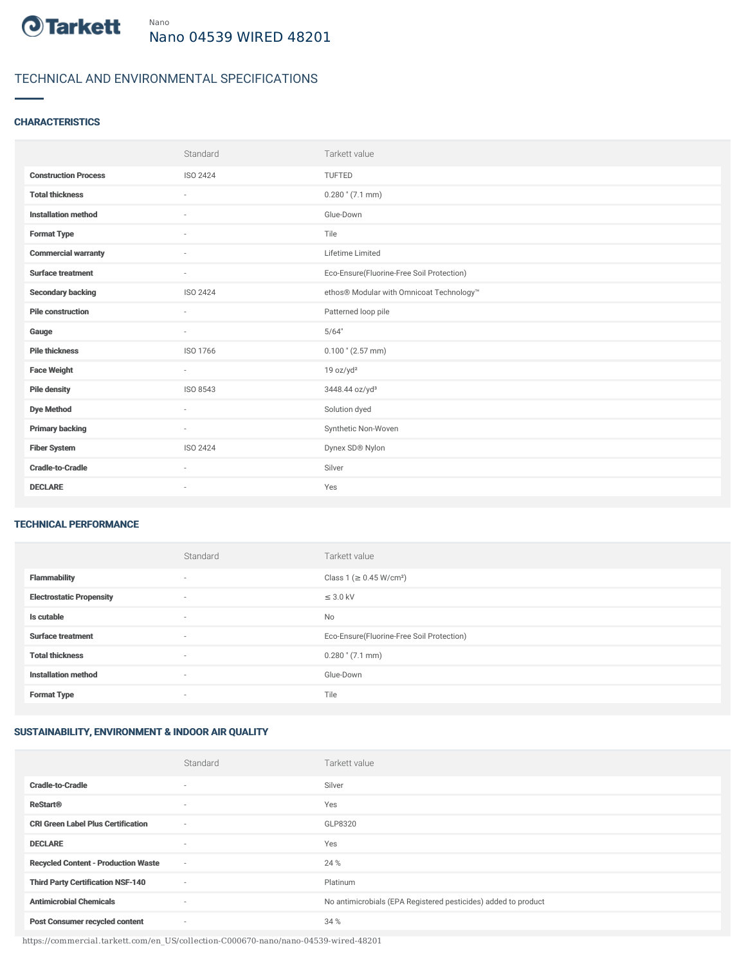

# TECHNICAL AND ENVIRONMENTAL SPECIFICATIONS

### **CHARACTERISTICS**

|                             | Standard                 | Tarkett value                             |
|-----------------------------|--------------------------|-------------------------------------------|
| <b>Construction Process</b> | <b>ISO 2424</b>          | <b>TUFTED</b>                             |
| <b>Total thickness</b>      | ×                        | $0.280$ " (7.1 mm)                        |
| <b>Installation method</b>  | $\sim$                   | Glue-Down                                 |
| <b>Format Type</b>          | ٠                        | Tile                                      |
| <b>Commercial warranty</b>  | ×                        | Lifetime Limited                          |
| <b>Surface treatment</b>    | $\sim$                   | Eco-Ensure(Fluorine-Free Soil Protection) |
| <b>Secondary backing</b>    | <b>ISO 2424</b>          | ethos® Modular with Omnicoat Technology™  |
| <b>Pile construction</b>    |                          | Patterned loop pile                       |
| Gauge                       | $\sim$                   | 5/64"                                     |
| <b>Pile thickness</b>       | ISO 1766                 | $0.100$ " (2.57 mm)                       |
| <b>Face Weight</b>          | $\sim$                   | 19 oz/yd <sup>2</sup>                     |
| <b>Pile density</b>         | ISO 8543                 | 3448.44 oz/yd <sup>3</sup>                |
| <b>Dye Method</b>           | $\sim$                   | Solution dyed                             |
| <b>Primary backing</b>      | $\sim$                   | Synthetic Non-Woven                       |
| <b>Fiber System</b>         | <b>ISO 2424</b>          | Dynex SD® Nylon                           |
| <b>Cradle-to-Cradle</b>     | $\sim$                   | Silver                                    |
| <b>DECLARE</b>              | $\overline{\phantom{a}}$ | Yes                                       |

#### TECHNICAL PERFORMANCE

|                                 | Standard                 | Tarkett value                             |
|---------------------------------|--------------------------|-------------------------------------------|
| <b>Flammability</b>             | ٠                        | Class 1 (≥ 0.45 W/cm <sup>2</sup> )       |
| <b>Electrostatic Propensity</b> | ٠                        | $\leq$ 3.0 kV                             |
| Is cutable                      | $\sim$                   | No                                        |
| <b>Surface treatment</b>        | $\overline{\phantom{a}}$ | Eco-Ensure(Fluorine-Free Soil Protection) |
| <b>Total thickness</b>          | ٠                        | $0.280$ " $(7.1$ mm)                      |
| <b>Installation method</b>      | $\sim$                   | Glue-Down                                 |
| <b>Format Type</b>              | $\overline{\phantom{a}}$ | Tile                                      |

## SUSTAINABILITY, ENVIRONMENT & INDOOR AIR QUALITY

|                                            | Standard | Tarkett value                                                  |
|--------------------------------------------|----------|----------------------------------------------------------------|
| <b>Cradle-to-Cradle</b>                    | $\sim$   | Silver                                                         |
| <b>ReStart®</b>                            | $\sim$   | Yes                                                            |
| <b>CRI Green Label Plus Certification</b>  | $\sim$   | GLP8320                                                        |
| <b>DECLARE</b>                             | $\sim$   | Yes                                                            |
| <b>Recycled Content - Production Waste</b> | $\sim$   | 24 %                                                           |
| <b>Third Party Certification NSF-140</b>   | $\sim$   | Platinum                                                       |
| <b>Antimicrobial Chemicals</b>             | $\sim$   | No antimicrobials (EPA Registered pesticides) added to product |
| <b>Post Consumer recycled content</b>      | $\sim$   | 34 %                                                           |

https://commercial.tarkett.com/en\_US/collection-C000670-nano/nano-04539-wired-48201